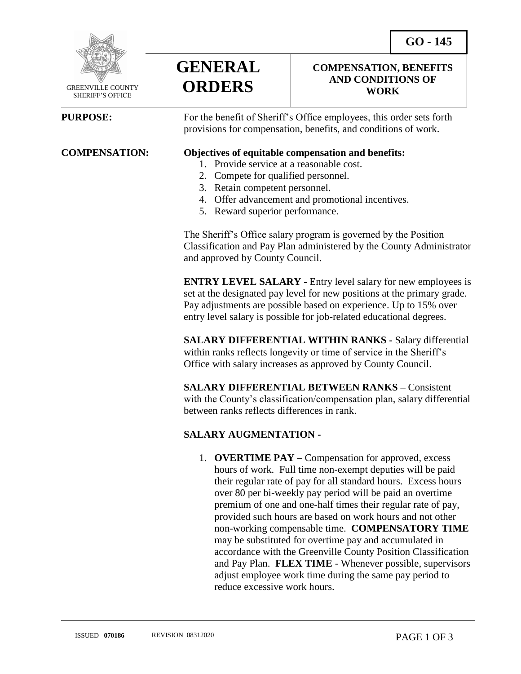**COMPENSATION, BENEFITS AND CONDITIONS OF WORK**



 GREENVILLE COUNTY SHERIFF'S OFFICE

 $\overline{a}$ 

**PURPOSE:** For the benefit of Sheriff's Office employees, this order sets forth provisions for compensation, benefits, and conditions of work.

#### **COMPENSATION: Objectives of equitable compensation and benefits:**

- 1. Provide service at a reasonable cost.
- 2. Compete for qualified personnel.
- 3. Retain competent personnel.

**GENERAL**

**ORDERS**

- 4. Offer advancement and promotional incentives.
- 5. Reward superior performance.

The Sheriff's Office salary program is governed by the Position Classification and Pay Plan administered by the County Administrator and approved by County Council.

**ENTRY LEVEL SALARY -** Entry level salary for new employees is set at the designated pay level for new positions at the primary grade. Pay adjustments are possible based on experience. Up to 15% over entry level salary is possible for job-related educational degrees.

**SALARY DIFFERENTIAL WITHIN RANKS -** Salary differential within ranks reflects longevity or time of service in the Sheriff's Office with salary increases as approved by County Council.

**SALARY DIFFERENTIAL BETWEEN RANKS –** Consistent with the County's classification/compensation plan, salary differential between ranks reflects differences in rank.

### **SALARY AUGMENTATION -**

1. **OVERTIME PAY –** Compensation for approved, excess hours of work. Full time non-exempt deputies will be paid their regular rate of pay for all standard hours. Excess hours over 80 per bi-weekly pay period will be paid an overtime premium of one and one-half times their regular rate of pay, provided such hours are based on work hours and not other non-working compensable time. **COMPENSATORY TIME** may be substituted for overtime pay and accumulated in accordance with the Greenville County Position Classification and Pay Plan. **FLEX TIME** - Whenever possible, supervisors adjust employee work time during the same pay period to reduce excessive work hours.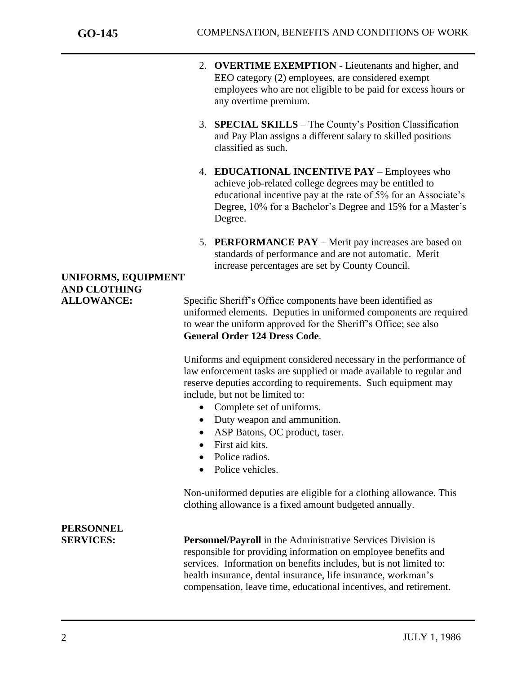j

- 2. **OVERTIME EXEMPTION** Lieutenants and higher, and EEO category (2) employees, are considered exempt employees who are not eligible to be paid for excess hours or any overtime premium.
- 3. **SPECIAL SKILLS** The County's Position Classification and Pay Plan assigns a different salary to skilled positions classified as such.
- 4. **EDUCATIONAL INCENTIVE PAY**  Employees who achieve job-related college degrees may be entitled to educational incentive pay at the rate of 5% for an Associate's Degree, 10% for a Bachelor's Degree and 15% for a Master's Degree.
- 5. **PERFORMANCE PAY**  Merit pay increases are based on standards of performance and are not automatic. Merit increase percentages are set by County Council.

## **UNIFORMS, EQUIPMENT AND CLOTHING**

ALLOWANCE: Specific Sheriff's Office components have been identified as uniformed elements. Deputies in uniformed components are required to wear the uniform approved for the Sheriff's Office; see also **General Order 124 Dress Code**.

> Uniforms and equipment considered necessary in the performance of law enforcement tasks are supplied or made available to regular and reserve deputies according to requirements. Such equipment may include, but not be limited to:

- Complete set of uniforms.
- Duty weapon and ammunition.
- ASP Batons, OC product, taser.
- First aid kits.
- Police radios.
- Police vehicles.

Non-uniformed deputies are eligible for a clothing allowance. This clothing allowance is a fixed amount budgeted annually.

# **PERSONNEL**

**SERVICES: Personnel/Payroll** in the Administrative Services Division is responsible for providing information on employee benefits and services. Information on benefits includes, but is not limited to: health insurance, dental insurance, life insurance, workman's compensation, leave time, educational incentives, and retirement.